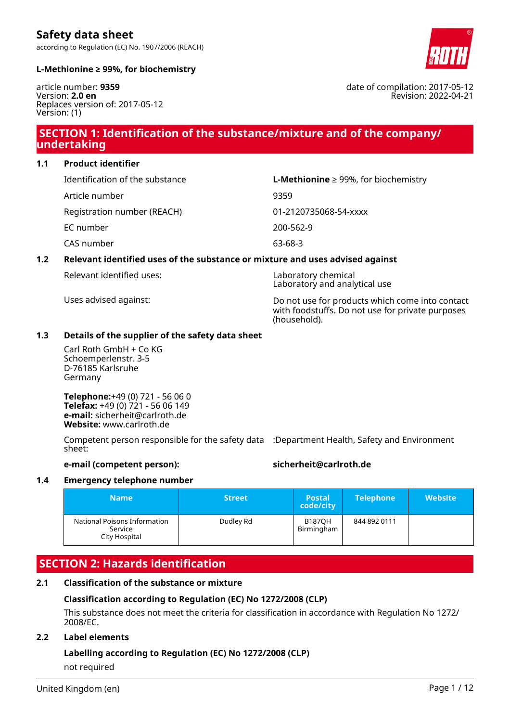according to Regulation (EC) No. 1907/2006 (REACH)



date of compilation: 2017-05-12

Revision: 2022-04-21

# **L-Methionine ≥ 99%, for biochemistry**

article number: **9359** Version: **2.0 en** Replaces version of: 2017-05-12 Version: (1)

# **SECTION 1: Identification of the substance/mixture and of the company/ undertaking**

**1.1 Product identifier**

| Identification of the substance | <b>L-Methionine</b> $\geq$ 99%, for biochemistry |
|---------------------------------|--------------------------------------------------|
| Article number                  | 9359                                             |
| Registration number (REACH)     | 01-2120735068-54-xxxx                            |
| EC number                       | 200-562-9                                        |
| CAS number                      | 63-68-3                                          |

# **1.2 Relevant identified uses of the substance or mixture and uses advised against**

Relevant identified uses: Laboratory chemical

Laboratory and analytical use Uses advised against: Do not use for products which come into contact

with foodstuffs. Do not use for private purposes (household).

# **1.3 Details of the supplier of the safety data sheet**

Carl Roth GmbH + Co KG Schoemperlenstr. 3-5 D-76185 Karlsruhe Germany

**Telephone:**+49 (0) 721 - 56 06 0 **Telefax:** +49 (0) 721 - 56 06 149 **e-mail:** sicherheit@carlroth.de **Website:** www.carlroth.de

Competent person responsible for the safety data :Department Health, Safety and Environment sheet:

# **e-mail (competent person): sicherheit@carlroth.de**

# **1.4 Emergency telephone number**

| <b>Name</b>                                              | <b>Street</b> | <b>Postal</b><br>code/city  | <b>Telephone</b> | <b>Website</b> |
|----------------------------------------------------------|---------------|-----------------------------|------------------|----------------|
| National Poisons Information<br>Service<br>City Hospital | Dudley Rd     | <b>B187OH</b><br>Birmingham | 844 892 0111     |                |

# **SECTION 2: Hazards identification**

# **2.1 Classification of the substance or mixture**

# **Classification according to Regulation (EC) No 1272/2008 (CLP)**

This substance does not meet the criteria for classification in accordance with Regulation No 1272/ 2008/EC.

# **2.2 Label elements**

# **Labelling according to Regulation (EC) No 1272/2008 (CLP)**

not required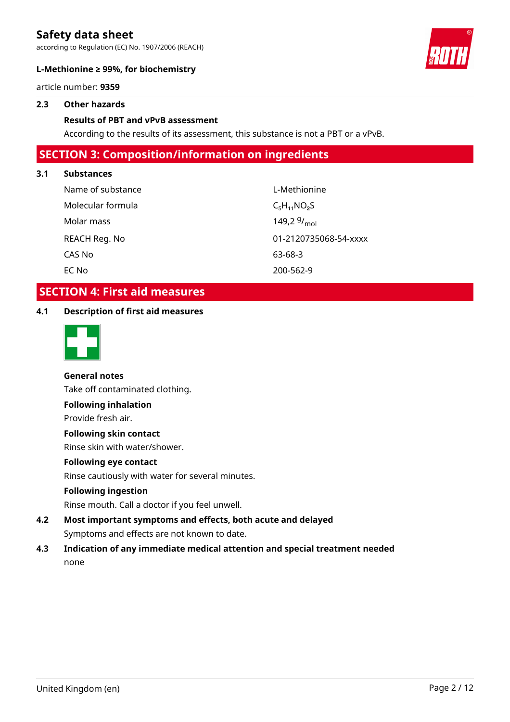according to Regulation (EC) No. 1907/2006 (REACH)



# **L-Methionine ≥ 99%, for biochemistry**

article number: **9359**

# **2.3 Other hazards**

# **Results of PBT and vPvB assessment**

According to the results of its assessment, this substance is not a PBT or a vPvB.

# **SECTION 3: Composition/information on ingredients**

# **3.1 Substances**

| Name of substance | L-Methionine          |
|-------------------|-----------------------|
| Molecular formula | $C_5H_{11}NO_2S$      |
| Molar mass        | 149,2 $9/_{mol}$      |
| REACH Reg. No     | 01-2120735068-54-xxxx |
| CAS No            | 63-68-3               |
| EC No             | 200-562-9             |

# **SECTION 4: First aid measures**

# **4.1 Description of first aid measures**



**General notes** Take off contaminated clothing. **Following inhalation** Provide fresh air. **Following skin contact**

Rinse skin with water/shower.

# **Following eye contact**

Rinse cautiously with water for several minutes.

# **Following ingestion**

Rinse mouth. Call a doctor if you feel unwell.

- **4.2 Most important symptoms and effects, both acute and delayed** Symptoms and effects are not known to date.
- **4.3 Indication of any immediate medical attention and special treatment needed** none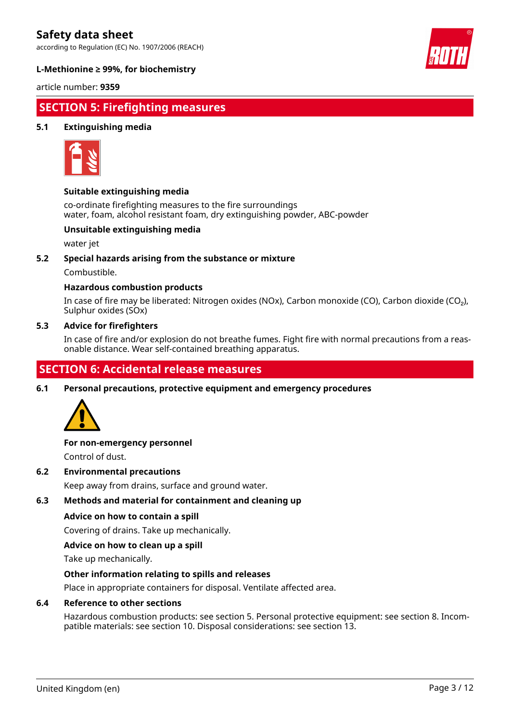according to Regulation (EC) No. 1907/2006 (REACH)



# **L-Methionine ≥ 99%, for biochemistry**

article number: **9359**

# **SECTION 5: Firefighting measures**

# **5.1 Extinguishing media**



# **Suitable extinguishing media**

co-ordinate firefighting measures to the fire surroundings water, foam, alcohol resistant foam, dry extinguishing powder, ABC-powder

# **Unsuitable extinguishing media**

water jet

# **5.2 Special hazards arising from the substance or mixture**

Combustible.

# **Hazardous combustion products**

In case of fire may be liberated: Nitrogen oxides (NOx), Carbon monoxide (CO), Carbon dioxide (CO₂), Sulphur oxides (SOx)

# **5.3 Advice for firefighters**

In case of fire and/or explosion do not breathe fumes. Fight fire with normal precautions from a reasonable distance. Wear self-contained breathing apparatus.

# **SECTION 6: Accidental release measures**

**6.1 Personal precautions, protective equipment and emergency procedures**



# **For non-emergency personnel**

Control of dust.

# **6.2 Environmental precautions**

Keep away from drains, surface and ground water.

# **6.3 Methods and material for containment and cleaning up**

# **Advice on how to contain a spill**

Covering of drains. Take up mechanically.

# **Advice on how to clean up a spill**

Take up mechanically.

# **Other information relating to spills and releases**

Place in appropriate containers for disposal. Ventilate affected area.

# **6.4 Reference to other sections**

Hazardous combustion products: see section 5. Personal protective equipment: see section 8. Incompatible materials: see section 10. Disposal considerations: see section 13.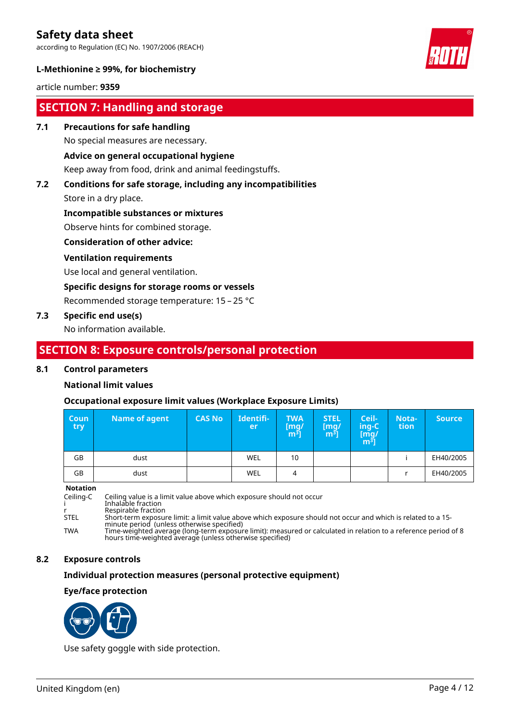according to Regulation (EC) No. 1907/2006 (REACH)



# **L-Methionine ≥ 99%, for biochemistry**

article number: **9359**

# **SECTION 7: Handling and storage**

# **7.1 Precautions for safe handling**

No special measures are necessary.

# **Advice on general occupational hygiene**

Keep away from food, drink and animal feedingstuffs.

# **7.2 Conditions for safe storage, including any incompatibilities**

Store in a dry place.

# **Incompatible substances or mixtures**

Observe hints for combined storage.

# **Consideration of other advice:**

# **Ventilation requirements**

Use local and general ventilation.

# **Specific designs for storage rooms or vessels**

Recommended storage temperature: 15 – 25 °C

# **7.3 Specific end use(s)**

No information available.

# **SECTION 8: Exposure controls/personal protection**

# **8.1 Control parameters**

# **National limit values**

# **Occupational exposure limit values (Workplace Exposure Limits)**

| <b>Coun</b><br>try | Name of agent | <b>CAS No</b> | Identifi-<br>er | <b>TWA</b><br>[mg/<br>m <sup>3</sup> | <b>STEL</b><br>[mg]<br>m <sup>3</sup> | Ceil-<br>ing-C<br>[mg/<br>$\overline{m^3}$ | Nota-<br>tion | <b>Source</b> |
|--------------------|---------------|---------------|-----------------|--------------------------------------|---------------------------------------|--------------------------------------------|---------------|---------------|
| GB                 | dust          |               | <b>WEL</b>      | 10                                   |                                       |                                            |               | EH40/2005     |
| GB                 | dust          |               | <b>WEL</b>      | 4                                    |                                       |                                            |               | EH40/2005     |

#### **Notation**

Ceiling-C Ceiling value is a limit value above which exposure should not occur i Inhalable fraction r Respirable fraction STEL Short-term exposure limit: a limit value above which exposure should not occur and which is related to a 15 minute period (unless otherwise specified) TWA Time-weighted average (long-term exposure limit): measured or calculated in relation to a reference period of 8 hours time-weighted average (unless otherwise specified)

# **8.2 Exposure controls**

# **Individual protection measures (personal protective equipment)**

# **Eye/face protection**



Use safety goggle with side protection.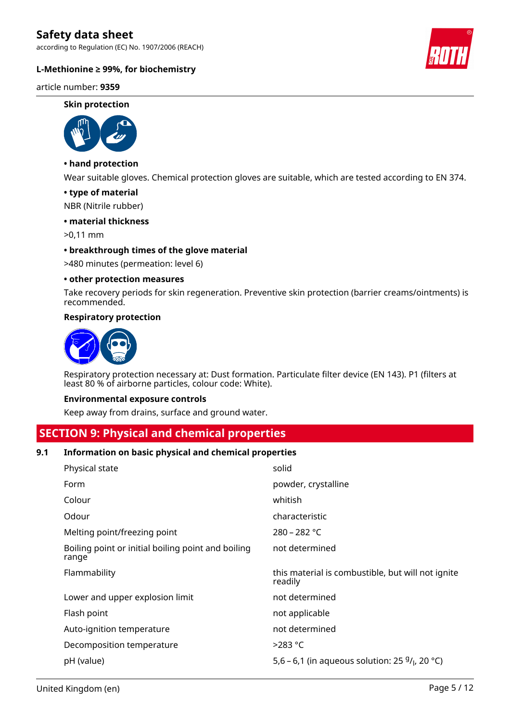according to Regulation (EC) No. 1907/2006 (REACH)

# **L-Methionine ≥ 99%, for biochemistry**

article number: **9359**

#### **Skin protection**



# **• hand protection**

Wear suitable gloves. Chemical protection gloves are suitable, which are tested according to EN 374.

#### **• type of material**

NBR (Nitrile rubber)

# **• material thickness**

>0,11 mm

#### **• breakthrough times of the glove material**

>480 minutes (permeation: level 6)

#### **• other protection measures**

Take recovery periods for skin regeneration. Preventive skin protection (barrier creams/ointments) is recommended.

#### **Respiratory protection**



Respiratory protection necessary at: Dust formation. Particulate filter device (EN 143). P1 (filters at least 80 % of airborne particles, colour code: White).

#### **Environmental exposure controls**

Keep away from drains, surface and ground water.

# **SECTION 9: Physical and chemical properties**

# **9.1 Information on basic physical and chemical properties**

| Physical state                                              | solid                                                        |
|-------------------------------------------------------------|--------------------------------------------------------------|
| Form                                                        | powder, crystalline                                          |
| Colour                                                      | whitish                                                      |
| Odour                                                       | characteristic                                               |
| Melting point/freezing point                                | $280 - 282$ °C                                               |
| Boiling point or initial boiling point and boiling<br>range | not determined                                               |
| Flammability                                                | this material is combustible, but will not ignite<br>readily |
| Lower and upper explosion limit                             | not determined                                               |
| Flash point                                                 | not applicable                                               |
| Auto-ignition temperature                                   | not determined                                               |
| Decomposition temperature                                   | $>283$ °C                                                    |
| pH (value)                                                  | 5,6 – 6,1 (in aqueous solution: 25 $9/1$ , 20 °C)            |

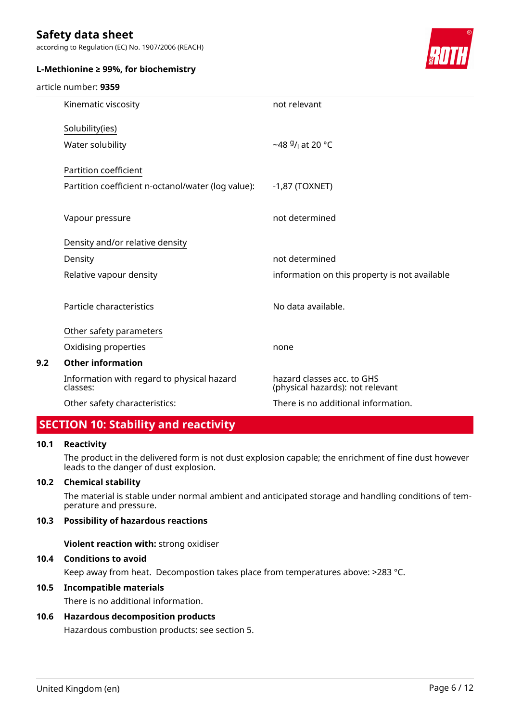according to Regulation (EC) No. 1907/2006 (REACH)



# **L-Methionine ≥ 99%, for biochemistry**

#### article number: **9359**

| Kinematic viscosity                                    | not relevant                                                   |
|--------------------------------------------------------|----------------------------------------------------------------|
| Solubility(ies)                                        |                                                                |
| Water solubility                                       | ~48 $9/1$ at 20 °C                                             |
| Partition coefficient                                  |                                                                |
| Partition coefficient n-octanol/water (log value):     | $-1,87$ (TOXNET)                                               |
|                                                        |                                                                |
| Vapour pressure                                        | not determined                                                 |
| Density and/or relative density                        |                                                                |
| Density                                                | not determined                                                 |
| Relative vapour density                                | information on this property is not available                  |
| Particle characteristics                               | No data available.                                             |
| Other safety parameters                                |                                                                |
| Oxidising properties                                   | none                                                           |
| <b>Other information</b>                               |                                                                |
| Information with regard to physical hazard<br>classes: | hazard classes acc. to GHS<br>(physical hazards): not relevant |
| Other safety characteristics:                          | There is no additional information.                            |

# **SECTION 10: Stability and reactivity**

# **10.1 Reactivity**

**9.2 Other information**

The product in the delivered form is not dust explosion capable; the enrichment of fine dust however leads to the danger of dust explosion.

# **10.2 Chemical stability**

The material is stable under normal ambient and anticipated storage and handling conditions of temperature and pressure.

# **10.3 Possibility of hazardous reactions**

**Violent reaction with:** strong oxidiser

# **10.4 Conditions to avoid**

Keep away from heat. Decompostion takes place from temperatures above: >283 °C.

# **10.5 Incompatible materials**

There is no additional information.

# **10.6 Hazardous decomposition products**

Hazardous combustion products: see section 5.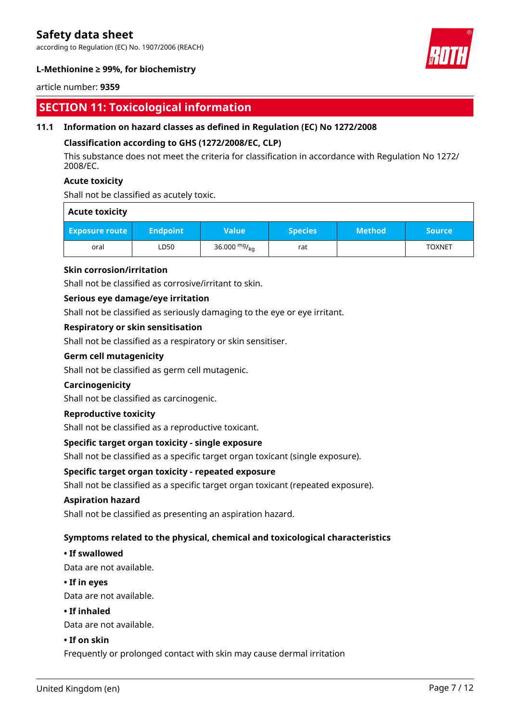according to Regulation (EC) No. 1907/2006 (REACH)



# **L-Methionine ≥ 99%, for biochemistry**

# article number: **9359**

# **SECTION 11: Toxicological information**

# **11.1 Information on hazard classes as defined in Regulation (EC) No 1272/2008**

# **Classification according to GHS (1272/2008/EC, CLP)**

This substance does not meet the criteria for classification in accordance with Regulation No 1272/ 2008/EC.

# **Acute toxicity**

Shall not be classified as acutely toxic.

# **Acute toxicity**

| <b>Exposure route</b> | <b>Endpoint</b> | Value'         | <b>Species</b> | <b>Method</b> | <b>Source</b> ' |
|-----------------------|-----------------|----------------|----------------|---------------|-----------------|
| oral                  | LD50            | 36.000 $mg/kq$ | rat            |               | <b>TOXNET</b>   |

# **Skin corrosion/irritation**

Shall not be classified as corrosive/irritant to skin.

# **Serious eye damage/eye irritation**

Shall not be classified as seriously damaging to the eye or eye irritant.

# **Respiratory or skin sensitisation**

Shall not be classified as a respiratory or skin sensitiser.

# **Germ cell mutagenicity**

Shall not be classified as germ cell mutagenic.

# **Carcinogenicity**

Shall not be classified as carcinogenic.

# **Reproductive toxicity**

Shall not be classified as a reproductive toxicant.

# **Specific target organ toxicity - single exposure**

Shall not be classified as a specific target organ toxicant (single exposure).

# **Specific target organ toxicity - repeated exposure**

Shall not be classified as a specific target organ toxicant (repeated exposure).

# **Aspiration hazard**

Shall not be classified as presenting an aspiration hazard.

# **Symptoms related to the physical, chemical and toxicological characteristics**

# **• If swallowed**

Data are not available.

# **• If in eyes**

Data are not available.

# **• If inhaled**

Data are not available.

# **• If on skin**

Frequently or prolonged contact with skin may cause dermal irritation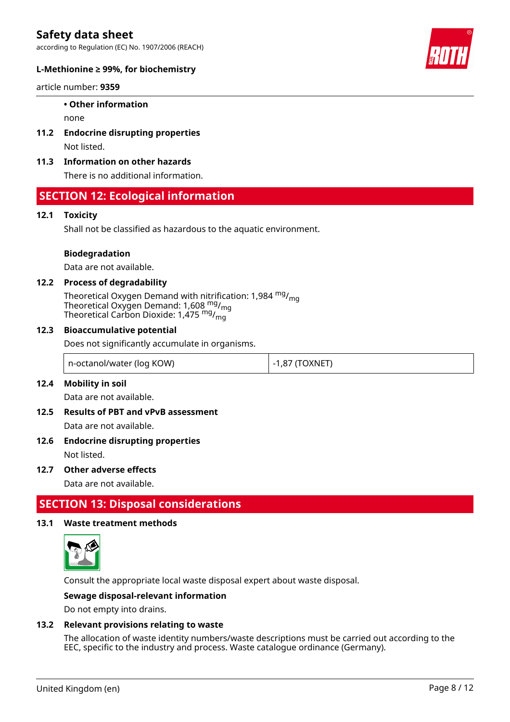according to Regulation (EC) No. 1907/2006 (REACH)



# **L-Methionine ≥ 99%, for biochemistry**

article number: **9359**

### **• Other information**

none

- **11.2 Endocrine disrupting properties** Not listed.
- **11.3 Information on other hazards**

There is no additional information.

# **SECTION 12: Ecological information**

# **12.1 Toxicity**

Shall not be classified as hazardous to the aquatic environment.

#### **Biodegradation**

Data are not available.

# **12.2 Process of degradability**

Theoretical Oxygen Demand with nitrification: 1,984  $mg/m<sub>on</sub>$ Theoretical Oxygen Demand: 1,608  $_{\rm mg}^{\rm mg}/_{\rm mg}$ Theoretical Carbon Dioxide: 1,475  $^{\mathsf{mg}}$ / $^{\mathsf{mg}}_{\mathsf{mg}}$ 

#### **12.3 Bioaccumulative potential**

Does not significantly accumulate in organisms.

| n-octanol/water (log KOW) | $-1,87$ (TOXNET) |
|---------------------------|------------------|
|---------------------------|------------------|

# **12.4 Mobility in soil**

Data are not available.

- **12.5 Results of PBT and vPvB assessment** Data are not available.
- **12.6 Endocrine disrupting properties**

Not listed.

# **12.7 Other adverse effects**

Data are not available.

# **SECTION 13: Disposal considerations**

# **13.1 Waste treatment methods**



Consult the appropriate local waste disposal expert about waste disposal.

# **Sewage disposal-relevant information**

Do not empty into drains.

# **13.2 Relevant provisions relating to waste**

The allocation of waste identity numbers/waste descriptions must be carried out according to the EEC, specific to the industry and process. Waste catalogue ordinance (Germany).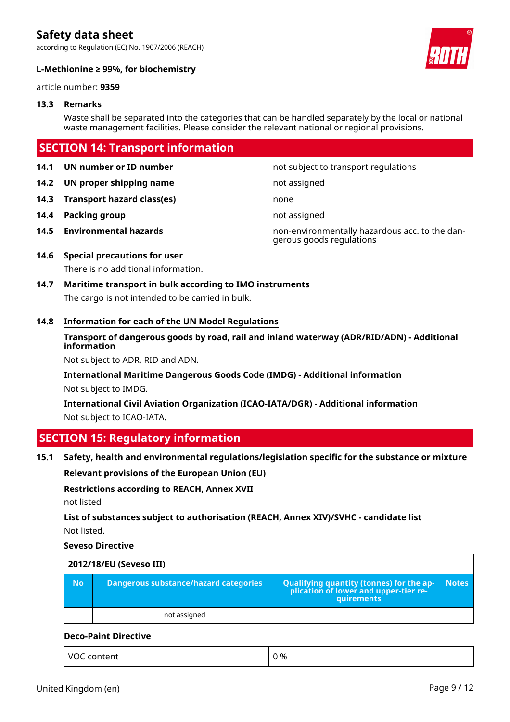according to Regulation (EC) No. 1907/2006 (REACH)



# **L-Methionine ≥ 99%, for biochemistry**

article number: **9359**

# **13.3 Remarks**

Waste shall be separated into the categories that can be handled separately by the local or national waste management facilities. Please consider the relevant national or regional provisions.

# **SECTION 14: Transport information**

**14.2 UN proper shipping name** not assigned

**14.3 Transport hazard class(es)** none

- **14.4 Packing group not assigned**
- 

**14.1 UN number or ID number not subject to transport regulations** 

**14.5 Environmental hazards** non-environmentally hazardous acc. to the dangerous goods regulations

# **14.6 Special precautions for user**

There is no additional information.

**14.7 Maritime transport in bulk according to IMO instruments** The cargo is not intended to be carried in bulk.

# **14.8 Information for each of the UN Model Regulations**

# **Transport of dangerous goods by road, rail and inland waterway (ADR/RID/ADN) - Additional information**

Not subject to ADR, RID and ADN.

**International Maritime Dangerous Goods Code (IMDG) - Additional information** Not subject to IMDG.

**International Civil Aviation Organization (ICAO-IATA/DGR) - Additional information** Not subject to ICAO-IATA.

# **SECTION 15: Regulatory information**

# **15.1 Safety, health and environmental regulations/legislation specific for the substance or mixture**

**Relevant provisions of the European Union (EU)**

**Restrictions according to REACH, Annex XVII**

not listed

**List of substances subject to authorisation (REACH, Annex XIV)/SVHC - candidate list** Not listed.

# **Seveso Directive**

| 2012/18/EU (Seveso III) |                                       |                                                                                            |              |
|-------------------------|---------------------------------------|--------------------------------------------------------------------------------------------|--------------|
| <b>No</b>               | Dangerous substance/hazard categories | Qualifying quantity (tonnes) for the application of lower and upper-tier re-<br>quirements | <b>Notes</b> |
|                         | not assigned                          |                                                                                            |              |

# **Deco-Paint Directive**

| VOC content<br>. | 0 % |
|------------------|-----|
|------------------|-----|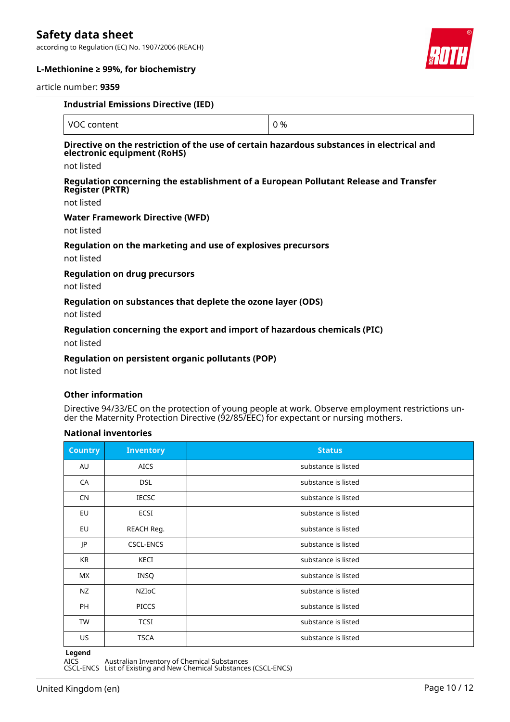according to Regulation (EC) No. 1907/2006 (REACH)



# **L-Methionine ≥ 99%, for biochemistry**

#### article number: **9359**

| <b>Industrial Emissions Directive (IED)</b>                                                                                            |     |  |
|----------------------------------------------------------------------------------------------------------------------------------------|-----|--|
| VOC content                                                                                                                            | 0 % |  |
| Directive on the restriction of the use of certain hazardous substances in electrical and<br>electronic equipment (RoHS)<br>not listed |     |  |
| Regulation concerning the establishment of a European Pollutant Release and Transfer<br><b>Register (PRTR)</b><br>not listed           |     |  |
| <b>Water Framework Directive (WFD)</b>                                                                                                 |     |  |

not listed

# **Regulation on the marketing and use of explosives precursors**

not listed

#### **Regulation on drug precursors**

not listed

#### **Regulation on substances that deplete the ozone layer (ODS)**

not listed

# **Regulation concerning the export and import of hazardous chemicals (PIC)**

not listed

# **Regulation on persistent organic pollutants (POP)**

not listed

# **Other information**

Directive 94/33/EC on the protection of young people at work. Observe employment restrictions under the Maternity Protection Directive (92/85/EEC) for expectant or nursing mothers.

# **National inventories**

| <b>Country</b> | <b>Inventory</b> | <b>Status</b>       |
|----------------|------------------|---------------------|
| AU             | <b>AICS</b>      | substance is listed |
| CA             | <b>DSL</b>       | substance is listed |
| <b>CN</b>      | <b>IECSC</b>     | substance is listed |
| <b>EU</b>      | <b>ECSI</b>      | substance is listed |
| EU             | REACH Reg.       | substance is listed |
| JP             | <b>CSCL-ENCS</b> | substance is listed |
| KR             | KECI             | substance is listed |
| МX             | INSQ             | substance is listed |
| NZ             | NZIOC            | substance is listed |
| PH             | <b>PICCS</b>     | substance is listed |
| <b>TW</b>      | <b>TCSI</b>      | substance is listed |
| <b>US</b>      | <b>TSCA</b>      | substance is listed |

**Legend**

AICS Australian Inventory of Chemical Substances

CSCL-ENCS List of Existing and New Chemical Substances (CSCL-ENCS)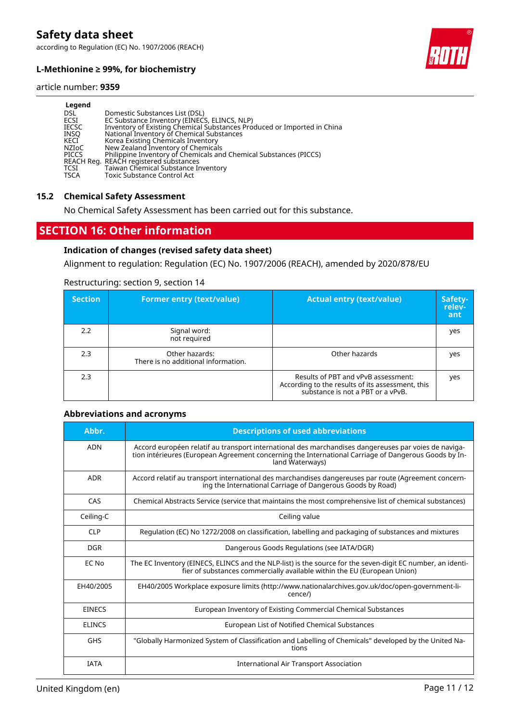according to Regulation (EC) No. 1907/2006 (REACH)



# **L-Methionine ≥ 99%, for biochemistry**

#### article number: **9359**

| Legend       |                                                                         |
|--------------|-------------------------------------------------------------------------|
| DSL          | Domestic Substances List (DSL)                                          |
| ECSI         | EC Substance Inventory (EINECS, ELINCS, NLP)                            |
| <b>IECSC</b> | Inventory of Existing Chemical Substances Produced or Imported in China |
| <b>INSO</b>  | National Inventory of Chemical Substances                               |
| KECI         | Korea Existing Chemicals Inventory                                      |
| NZIoC        | New Zealand Inventory of Chemicals                                      |
| <b>PICCS</b> | Philippine Inventory of Chemicals and Chemical Substances (PICCS)       |
|              | REACH Reg. REACH registered substances                                  |
| TCSI         | Taiwan Chemical Substance Inventory                                     |
| <b>TSCA</b>  | <b>Toxic Substance Control Act</b>                                      |

### **15.2 Chemical Safety Assessment**

No Chemical Safety Assessment has been carried out for this substance.

# **SECTION 16: Other information**

# **Indication of changes (revised safety data sheet)**

Alignment to regulation: Regulation (EC) No. 1907/2006 (REACH), amended by 2020/878/EU

#### Restructuring: section 9, section 14

| <b>Section</b> | <b>Former entry (text/value)</b>                      | <b>Actual entry (text/value)</b>                                                                                             | Safety-<br>reley-<br>ant |
|----------------|-------------------------------------------------------|------------------------------------------------------------------------------------------------------------------------------|--------------------------|
| 2.2            | Signal word:<br>not required                          |                                                                                                                              | yes                      |
| 2.3            | Other hazards:<br>There is no additional information. | Other hazards                                                                                                                | yes                      |
| 2.3            |                                                       | Results of PBT and vPvB assessment:<br>According to the results of its assessment, this<br>substance is not a PBT or a vPvB. | yes                      |

#### **Abbreviations and acronyms**

| Abbr.         | <b>Descriptions of used abbreviations</b>                                                                                                                                                                                       |
|---------------|---------------------------------------------------------------------------------------------------------------------------------------------------------------------------------------------------------------------------------|
| <b>ADN</b>    | Accord européen relatif au transport international des marchandises dangereuses par voies de naviga-<br>tion intérieures (European Agreement concerning the International Carriage of Dangerous Goods by In-<br>land Waterways) |
| <b>ADR</b>    | Accord relatif au transport international des marchandises dangereuses par route (Agreement concern-<br>ing the International Carriage of Dangerous Goods by Road)                                                              |
| CAS           | Chemical Abstracts Service (service that maintains the most comprehensive list of chemical substances)                                                                                                                          |
| Ceiling-C     | Ceiling value                                                                                                                                                                                                                   |
| <b>CLP</b>    | Regulation (EC) No 1272/2008 on classification, labelling and packaging of substances and mixtures                                                                                                                              |
| DGR           | Dangerous Goods Regulations (see IATA/DGR)                                                                                                                                                                                      |
| EC No         | The EC Inventory (EINECS, ELINCS and the NLP-list) is the source for the seven-digit EC number, an identi-<br>fier of substances commercially available within the EU (European Union)                                          |
| EH40/2005     | EH40/2005 Workplace exposure limits (http://www.nationalarchives.gov.uk/doc/open-government-li-<br>cence/)                                                                                                                      |
| <b>EINECS</b> | European Inventory of Existing Commercial Chemical Substances                                                                                                                                                                   |
| <b>ELINCS</b> | European List of Notified Chemical Substances                                                                                                                                                                                   |
| GHS           | "Globally Harmonized System of Classification and Labelling of Chemicals" developed by the United Na-<br>tions                                                                                                                  |
| <b>IATA</b>   | International Air Transport Association                                                                                                                                                                                         |